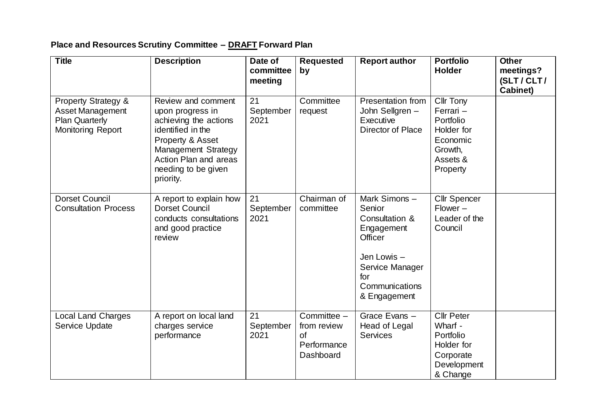## **Place and Resources Scrutiny Committee – DRAFT Forward Plan**

| <b>Title</b>                                                                                                   | <b>Description</b>                                                                                                                                                                                  | Date of<br>committee<br>meeting | Requested<br>by                                                     | <b>Report author</b>                                                                                                                         | <b>Portfolio</b><br><b>Holder</b>                                                                       | <b>Other</b><br>meetings?<br>(SLT/CLT/<br><b>Cabinet)</b> |
|----------------------------------------------------------------------------------------------------------------|-----------------------------------------------------------------------------------------------------------------------------------------------------------------------------------------------------|---------------------------------|---------------------------------------------------------------------|----------------------------------------------------------------------------------------------------------------------------------------------|---------------------------------------------------------------------------------------------------------|-----------------------------------------------------------|
| <b>Property Strategy &amp;</b><br><b>Asset Management</b><br><b>Plan Quarterly</b><br><b>Monitoring Report</b> | Review and comment<br>upon progress in<br>achieving the actions<br>identified in the<br>Property & Asset<br><b>Management Strategy</b><br>Action Plan and areas<br>needing to be given<br>priority. | 21<br>September<br>2021         | Committee<br>request                                                | Presentation from<br>John Sellgren -<br>Executive<br><b>Director of Place</b>                                                                | <b>Cllr Tony</b><br>Ferrari -<br>Portfolio<br>Holder for<br>Economic<br>Growth,<br>Assets &<br>Property |                                                           |
| <b>Dorset Council</b><br><b>Consultation Process</b>                                                           | A report to explain how<br><b>Dorset Council</b><br>conducts consultations<br>and good practice<br>review                                                                                           | 21<br>September<br>2021         | Chairman of<br>committee                                            | Mark Simons-<br>Senior<br>Consultation &<br>Engagement<br>Officer<br>Jen Lowis -<br>Service Manager<br>for<br>Communications<br>& Engagement | <b>Cllr Spencer</b><br>$Flower -$<br>Leader of the<br>Council                                           |                                                           |
| <b>Local Land Charges</b><br>Service Update                                                                    | A report on local land<br>charges service<br>performance                                                                                                                                            | 21<br>September<br>2021         | Committee -<br>from review<br><b>of</b><br>Performance<br>Dashboard | Grace Evans -<br>Head of Legal<br><b>Services</b>                                                                                            | <b>Cllr Peter</b><br>Wharf -<br>Portfolio<br>Holder for<br>Corporate<br>Development<br>& Change         |                                                           |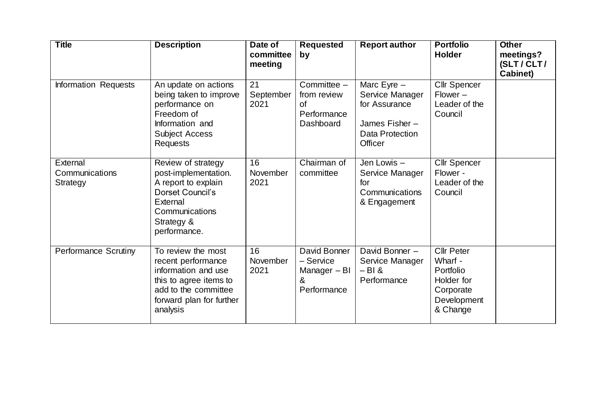| <b>Title</b>                                  | <b>Description</b>                                                                                                                                        | Date of<br>committee<br>meeting | <b>Requested</b><br>by                                              | <b>Report author</b>                                                                             | <b>Portfolio</b><br><b>Holder</b>                                                               | <b>Other</b><br>meetings?<br>(SLT / CLT /<br>Cabinet) |
|-----------------------------------------------|-----------------------------------------------------------------------------------------------------------------------------------------------------------|---------------------------------|---------------------------------------------------------------------|--------------------------------------------------------------------------------------------------|-------------------------------------------------------------------------------------------------|-------------------------------------------------------|
| Information Requests                          | An update on actions<br>being taken to improve<br>performance on<br>Freedom of<br>Information and<br><b>Subject Access</b><br><b>Requests</b>             | 21<br>September<br>2021         | Committee -<br>from review<br><b>of</b><br>Performance<br>Dashboard | Marc Eyre $-$<br>Service Manager<br>for Assurance<br>James Fisher-<br>Data Protection<br>Officer | <b>Cllr Spencer</b><br>$Flower -$<br>Leader of the<br>Council                                   |                                                       |
| External<br>Communications<br><b>Strategy</b> | Review of strategy<br>post-implementation.<br>A report to explain<br>Dorset Council's<br>External<br>Communications<br>Strategy &<br>performance.         | 16<br>November<br>2021          | Chairman of<br>committee                                            | Jen Lowis -<br>Service Manager<br>for<br>Communications<br>& Engagement                          | <b>Cllr Spencer</b><br>Flower -<br>Leader of the<br>Council                                     |                                                       |
| <b>Performance Scrutiny</b>                   | To review the most<br>recent performance<br>information and use<br>this to agree items to<br>add to the committee<br>forward plan for further<br>analysis | 16<br>November<br>2021          | David Bonner<br>- Service<br>Manager - BI<br>&<br>Performance       | David Bonner -<br>Service Manager<br>$-BI &$<br>Performance                                      | <b>Cllr Peter</b><br>Wharf -<br>Portfolio<br>Holder for<br>Corporate<br>Development<br>& Change |                                                       |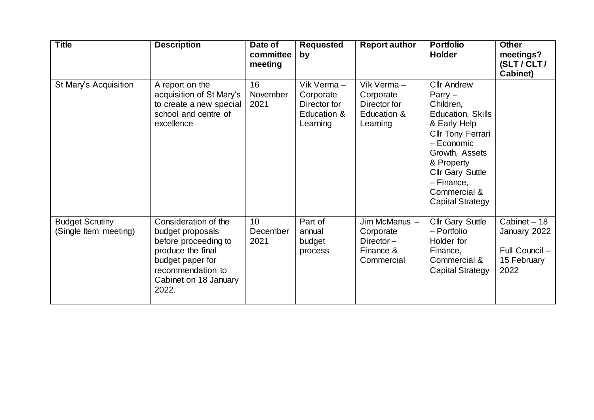| <b>Title</b>                                    | <b>Description</b>                                                                                                                                               | Date of<br>committee<br>meeting     | <b>Requested</b><br>by                                             | <b>Report author</b>                                                  | <b>Portfolio</b><br><b>Holder</b>                                                                                                                                                                                                         | <b>Other</b><br>meetings?<br>(SLT/CLT/<br><b>Cabinet)</b>             |
|-------------------------------------------------|------------------------------------------------------------------------------------------------------------------------------------------------------------------|-------------------------------------|--------------------------------------------------------------------|-----------------------------------------------------------------------|-------------------------------------------------------------------------------------------------------------------------------------------------------------------------------------------------------------------------------------------|-----------------------------------------------------------------------|
| St Mary's Acquisition                           | A report on the<br>acquisition of St Mary's<br>to create a new special<br>school and centre of<br>excellence                                                     | 16<br>November<br>2021              | Vik Verma-<br>Corporate<br>Director for<br>Education &<br>Learning | Vik Verma-<br>Corporate<br>Director for<br>Education &<br>Learning    | <b>Cllr Andrew</b><br>$Parrow -$<br>Children,<br>Education, Skills<br>& Early Help<br>Cllr Tony Ferrari<br>- Economic<br>Growth, Assets<br>& Property<br><b>Cllr Gary Suttle</b><br>- Finance,<br>Commercial &<br><b>Capital Strategy</b> |                                                                       |
| <b>Budget Scrutiny</b><br>(Single Item meeting) | Consideration of the<br>budget proposals<br>before proceeding to<br>produce the final<br>budget paper for<br>recommendation to<br>Cabinet on 18 January<br>2022. | 10 <sup>1</sup><br>December<br>2021 | Part of<br>annual<br>budget<br>process                             | Jim McManus -<br>Corporate<br>Director $-$<br>Finance &<br>Commercial | <b>Cllr Gary Suttle</b><br>- Portfolio<br>Holder for<br>Finance,<br>Commercial &<br><b>Capital Strategy</b>                                                                                                                               | Cabinet - 18<br>January 2022<br>Full Council -<br>15 February<br>2022 |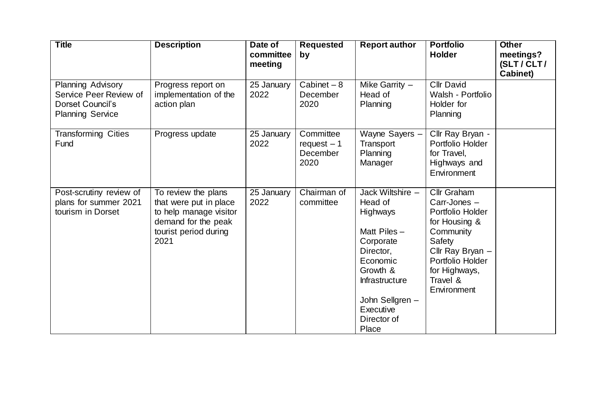| <b>Title</b>                                                                               | <b>Description</b>                                                                                                              | Date of<br>committee<br>meeting | <b>Requested</b><br>by                         | <b>Report author</b>                                                                                                                                                                                | <b>Portfolio</b><br><b>Holder</b>                                                                                                                                           | <b>Other</b><br>meetings?<br>(SLT/CLT/<br>Cabinet) |
|--------------------------------------------------------------------------------------------|---------------------------------------------------------------------------------------------------------------------------------|---------------------------------|------------------------------------------------|-----------------------------------------------------------------------------------------------------------------------------------------------------------------------------------------------------|-----------------------------------------------------------------------------------------------------------------------------------------------------------------------------|----------------------------------------------------|
| Planning Advisory<br>Service Peer Review of<br>Dorset Council's<br><b>Planning Service</b> | Progress report on<br>implementation of the<br>action plan                                                                      | 25 January<br>2022              | Cabinet $-8$<br>December<br>2020               | Mike Garrity $-$<br>Head of<br>Planning                                                                                                                                                             | <b>Cllr David</b><br>Walsh - Portfolio<br>Holder for<br>Planning                                                                                                            |                                                    |
| <b>Transforming Cities</b><br>Fund                                                         | Progress update                                                                                                                 | 25 January<br>2022              | Committee<br>$request - 1$<br>December<br>2020 | Wayne Sayers -<br>Transport<br>Planning<br>Manager                                                                                                                                                  | Cllr Ray Bryan -<br>Portfolio Holder<br>for Travel,<br>Highways and<br>Environment                                                                                          |                                                    |
| Post-scrutiny review of<br>plans for summer 2021<br>tourism in Dorset                      | To review the plans<br>that were put in place<br>to help manage visitor<br>demand for the peak<br>tourist period during<br>2021 | 25 January<br>2022              | Chairman of<br>committee                       | Jack Wiltshire -<br>Head of<br><b>Highways</b><br>Matt Piles $-$<br>Corporate<br>Director,<br>Economic<br>Growth &<br><b>Infrastructure</b><br>John Sellgren -<br>Executive<br>Director of<br>Place | Cllr Graham<br>Carr-Jones -<br>Portfolio Holder<br>for Housing &<br>Community<br>Safety<br>Cllr Ray Bryan -<br>Portfolio Holder<br>for Highways,<br>Travel &<br>Environment |                                                    |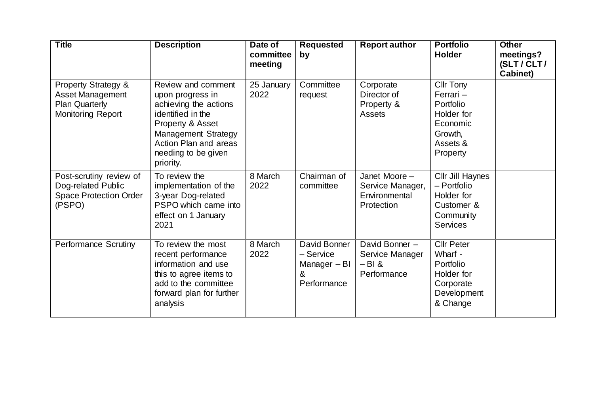| <b>Title</b>                                                                                            | <b>Description</b>                                                                                                                                                                                  | Date of<br>committee<br>meeting | <b>Requested</b><br>by                                        | <b>Report author</b>                                             | <b>Portfolio</b><br><b>Holder</b>                                                                | <b>Other</b><br>meetings?<br>(SLT/CLT/<br>Cabinet) |
|---------------------------------------------------------------------------------------------------------|-----------------------------------------------------------------------------------------------------------------------------------------------------------------------------------------------------|---------------------------------|---------------------------------------------------------------|------------------------------------------------------------------|--------------------------------------------------------------------------------------------------|----------------------------------------------------|
| <b>Property Strategy &amp;</b><br><b>Asset Management</b><br><b>Plan Quarterly</b><br>Monitoring Report | Review and comment<br>upon progress in<br>achieving the actions<br>identified in the<br>Property & Asset<br><b>Management Strategy</b><br>Action Plan and areas<br>needing to be given<br>priority. | 25 January<br>2022              | Committee<br>request                                          | Corporate<br>Director of<br>Property &<br>Assets                 | Cllr Tony<br>Ferrari -<br>Portfolio<br>Holder for<br>Economic<br>Growth,<br>Assets &<br>Property |                                                    |
| Post-scrutiny review of<br>Dog-related Public<br><b>Space Protection Order</b><br>(PSPO)                | To review the<br>implementation of the<br>3-year Dog-related<br>PSPO which came into<br>effect on 1 January<br>2021                                                                                 | 8 March<br>2022                 | Chairman of<br>committee                                      | Janet Moore -<br>Service Manager,<br>Environmental<br>Protection | Cllr Jill Haynes<br>- Portfolio<br>Holder for<br>Customer &<br>Community<br><b>Services</b>      |                                                    |
| <b>Performance Scrutiny</b>                                                                             | To review the most<br>recent performance<br>information and use<br>this to agree items to<br>add to the committee<br>forward plan for further<br>analysis                                           | 8 March<br>2022                 | David Bonner<br>- Service<br>Manager - BI<br>&<br>Performance | David Bonner -<br>Service Manager<br>$-Bl &$<br>Performance      | <b>Cllr Peter</b><br>Wharf -<br>Portfolio<br>Holder for<br>Corporate<br>Development<br>& Change  |                                                    |